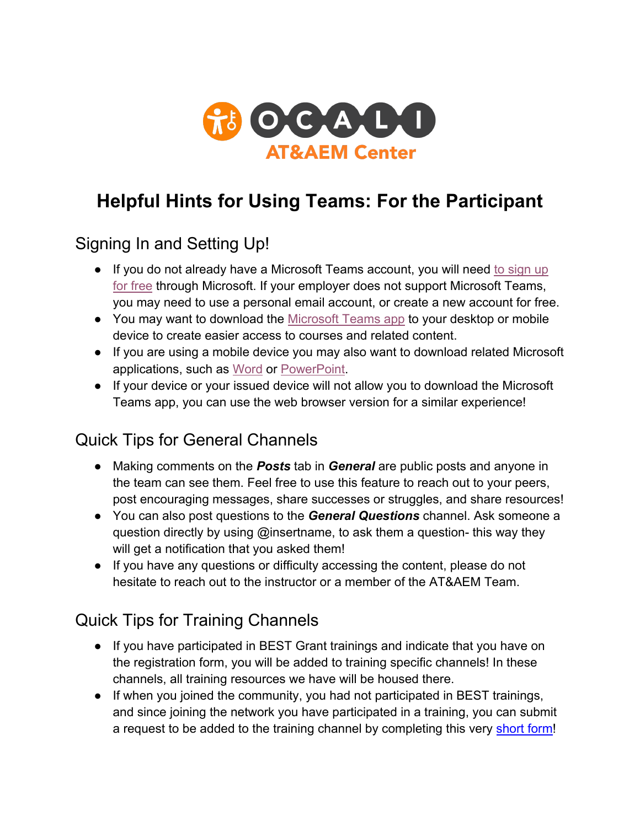

## **Helpful Hints for Using Teams: For the Participant**

## Signing In and Setting Up!

- If you do not already have a Microsoft Teams account, you will need to sign up for free through Microsoft. If your employer does not support Microsoft Teams, you may need to use a personal email account, or create a new account for free.
- You may want to download the [Microsoft Teams app t](https://www.microsoft.com/en-us/microsoft-teams/download-app)o your desktop or mobile device to create easier access to courses and related content.
- ● If you are using a mobile device you may also want to download related Microsoft applications, such as [Word o](https://www.microsoft.com/en-us/p/word-mobile/9wzdncrfjb9s?activetab=pivot:overviewtab)r [PowerPoint.](https://www.microsoft.com/en-us/p/powerpoint-mobile/9wzdncrfjb5q?activetab=pivot:overviewtab)
- ● If your device or your issued device will not allow you to download the Microsoft Teams app, you can use the web browser version for a similar experience!

## Quick Tips for General Channels

- ● Making comments on the *Posts* tab in *General* are public posts and anyone in the team can see them. Feel free to use this feature to reach out to your peers, post encouraging messages, share successes or struggles, and share resources!
- ● You can also post questions to the *General Questions* channel. Ask someone a question directly by using @insertname, to ask them a question- this way they will get a notification that you asked them!
- ● If you have any questions or difficulty accessing the content, please do not hesitate to reach out to the instructor or a member of the AT&AEM Team.

## Quick Tips for Training Channels

- ● If you have participated in BEST Grant trainings and indicate that you have on the registration form, you will be added to training specific channels! In these channels, all training resources we have will be housed there.
- ● If when you joined the community, you had not participated in BEST trainings, and since joining the network you have participated in a training, you can submit a request to be added to the training channel by completing this very **short form!**